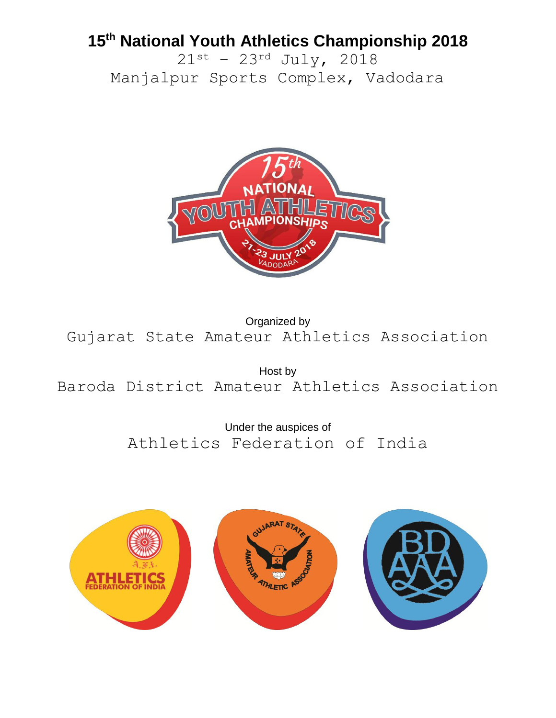## **15th National Youth Athletics Championship 2018**

 $21^{st}$  – 23<sup>rd</sup> July, 2018 Manjalpur Sports Complex, Vadodara



Organized by Gujarat State Amateur Athletics Association

Host by Baroda District Amateur Athletics Association

> Under the auspices of Athletics Federation of India